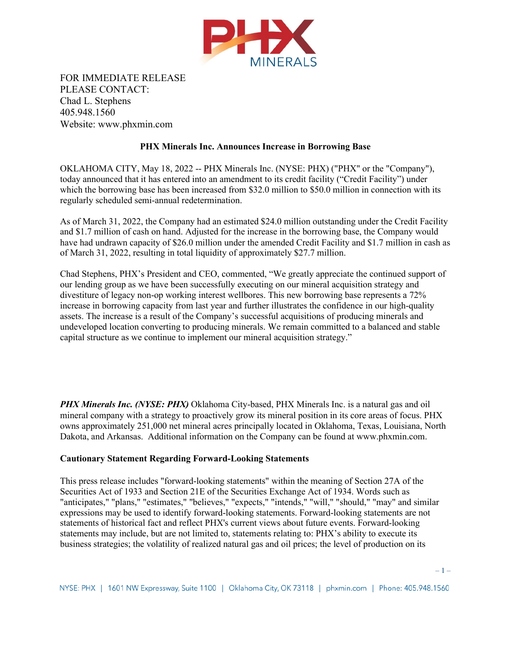

FOR IMMEDIATE RELEASE PLEASE CONTACT: Chad L. Stephens 405.948.1560 Website: www.phxmin.com

## **PHX Minerals Inc. Announces Increase in Borrowing Base**

OKLAHOMA CITY, May 18, 2022 -- PHX Minerals Inc. (NYSE: PHX) ("PHX" or the "Company"), today announced that it has entered into an amendment to its credit facility ("Credit Facility") under which the borrowing base has been increased from \$32.0 million to \$50.0 million in connection with its regularly scheduled semi-annual redetermination.

As of March 31, 2022, the Company had an estimated \$24.0 million outstanding under the Credit Facility and \$1.7 million of cash on hand. Adjusted for the increase in the borrowing base, the Company would have had undrawn capacity of \$26.0 million under the amended Credit Facility and \$1.7 million in cash as of March 31, 2022, resulting in total liquidity of approximately \$27.7 million.

Chad Stephens, PHX's President and CEO, commented, "We greatly appreciate the continued support of our lending group as we have been successfully executing on our mineral acquisition strategy and divestiture of legacy non-op working interest wellbores. This new borrowing base represents a 72% increase in borrowing capacity from last year and further illustrates the confidence in our high-quality assets. The increase is a result of the Company's successful acquisitions of producing minerals and undeveloped location converting to producing minerals. We remain committed to a balanced and stable capital structure as we continue to implement our mineral acquisition strategy."

*PHX Minerals Inc. (NYSE: PHX)* Oklahoma City-based, PHX Minerals Inc. is a natural gas and oil mineral company with a strategy to proactively grow its mineral position in its core areas of focus. PHX owns approximately 251,000 net mineral acres principally located in Oklahoma, Texas, Louisiana, North Dakota, and Arkansas. Additional information on the Company can be found at [www.phxmin.com.](https://urldefense.proofpoint.com/v2/url?u=http-3A__email.prnewswire.com_ls_click-3Fupn-3DOXp-2D2BEvHp8OzhyU1j9bSWuwMvMWelqIco5RbfBrouY-2D2BRC3-2D2F-2D2FinZ7MUCQ0W6H0B6-2D2BdHYXVMp4eBHxfX71ng2xxCPC-2D2F2coWKI7O5rGmS0dZGpi0EdMo-2D2B9KaOG9-2D2BM1cCEfBHjKF4fxab5kNQbLaDYxYAypnjvZRGExhoj48ye6x0-2D2B-2D2Fk-2D3Deo3g-5FB-2D2BVlbfD-2D2F6C6-2D2F2WpSGjuHGw42cx17k-2D2F6YzhTq1dgM8QlFvWU3F0U6HaGBs9O9Yvs-2D2FMArD4N4UMx-2D2BCoXI2b3gZTRuCpiMuc-2D2BX4wONboWSjfA5dVQMc1QyhG8aaBGcZeSoeG0XnV-2D2BLEfMCwZfb8bKYpkmwkKIjEgsgLGm33juF-2D2BM6bmCPbFXmaChsAsbefII-2D2FUIDZBlhaM3zekGvbcvjS7riVzSM4MnNNw9wArkBIriF7Z1iEPDKE2QK1YkAmYhd26xUI1epmdjHjgoK9jjBVtu4-2D2BOIRWTimUrKOcmufv0497U6N1QnXlERk7BKEpW-2D2B0Ji7xZXC1A3SsoEp3SAIHU5P6rA9WLVij9KkzL62qGwPxfE-2D3D&d=DwMFaQ&c=euGZstcaTDllvimEN8b7jXrwqOf-v5A_CdpgnVfiiMM&r=8i3rZc6gAusPbpdMQ5PSoGN-JD9je6-ZOIPul3OJpSw&m=C7UYgXe4BUnaxpwt_QGwvv72gRTZMAFUICuUyKAUCQM&s=OpL7LiEbJXOF5wppPpXhE920mHhCnJfG6xf0wYk_O0I&e=)

## **Cautionary Statement Regarding Forward-Looking Statements**

This press release includes "forward-looking statements" within the meaning of Section 27A of the Securities Act of 1933 and Section 21E of the Securities Exchange Act of 1934. Words such as "anticipates," "plans," "estimates," "believes," "expects," "intends," "will," "should," "may" and similar expressions may be used to identify forward-looking statements. Forward-looking statements are not statements of historical fact and reflect PHX's current views about future events. Forward-looking statements may include, but are not limited to, statements relating to: PHX's ability to execute its business strategies; the volatility of realized natural gas and oil prices; the level of production on its

– 1 –